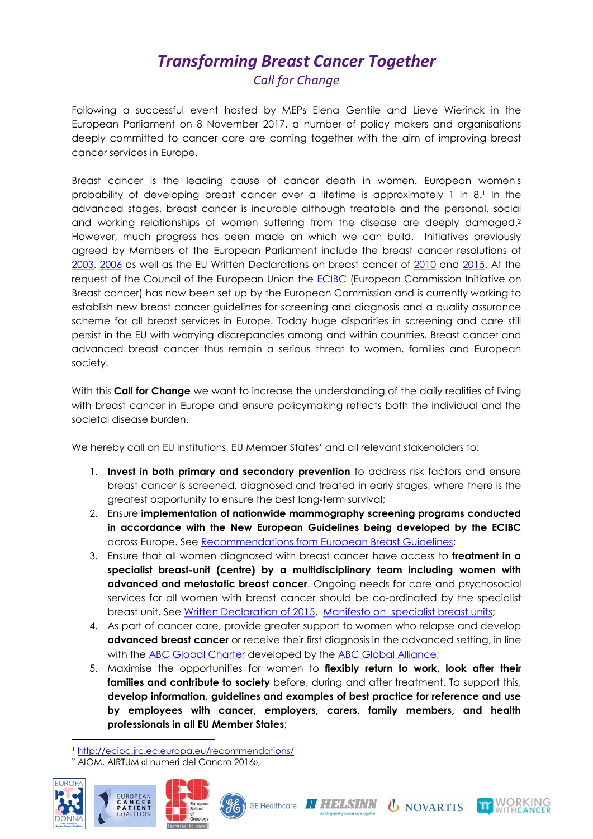## Transforming Breast Cancer Together Call for Change

Following a successful event hosted by MEPs Elena Gentile and Lieve Wierinck in the European Parliament on 8 November 2017, a number of policy makers and organisations deeply committed to cancer care are coming together with the aim of improving breast cancer services in Europe.

Breast cancer is the leading cause of cancer death in women. European women's probability of developing breast cancer over a lifetime is approximately 1 in 8.1 In the advanced stages, breast cancer is incurable although treatable and the personal, social and working relationships of women suffering from the disease are deeply damaged.<sup>2</sup> However, much progress has been made on which we can build. Initiatives previously agreed by Members of the European Parliament include the breast cancer resolutions of 2003, 2006 as well as the EU Written Declarations on breast cancer of 2010 and 2015. At the request of the Council of the European Union the ECIBC (European Commission Initiative on Breast cancer) has now been set up by the European Commission and is currently working to establish new breast cancer guidelines for screening and diagnosis and a quality assurance scheme for all breast services in Europe. Today huge disparities in screening and care still persist in the EU with worrying discrepancies among and within countries. Breast cancer and advanced breast cancer thus remain a serious threat to women, families and European society.

With this Call for Change we want to increase the understanding of the daily realities of living with breast cancer in Europe and ensure policymaking reflects both the individual and the societal disease burden.

We hereby call on EU institutions, EU Member States' and all relevant stakeholders to:

- 1. Invest in both primary and secondary prevention to address risk factors and ensure breast cancer is screened, diagnosed and treated in early stages, where there is the greatest opportunity to ensure the best long-term survival;
- 2. Ensure implementation of nationwide mammography screening programs conducted in accordance with the New European Guidelines being developed by the ECIBC across Europe. See Recommendations from European Breast Guidelines;
- 3. Ensure that all women diagnosed with breast cancer have access to treatment in a specialist breast-unit (centre) by a multidisciplinary team including women with advanced and metastatic breast cancer. Ongoing needs for care and psychosocial services for all women with breast cancer should be co-ordinated by the specialist breast unit. See Written Declaration of 2015, Manifesto on specialist breast units;
- 4. As part of cancer care, provide greater support to women who relapse and develop advanced breast cancer or receive their first diagnosis in the advanced setting, in line with the ABC Global Charter developed by the ABC Global Alliance;
- 5. Maximise the opportunities for women to flexibly return to work, look after their families and contribute to society before, during and after treatment. To support this, develop information, guidelines and examples of best practice for reference and use by employees with cancer, employers, carers, family members, and health professionals in all EU Member States;

<sup>2</sup> AIOM, AIRTUM «I numeri del Cancro 2016»,



-









<sup>1</sup> http://ecibc.jrc.ec.europa.eu/recommendations/